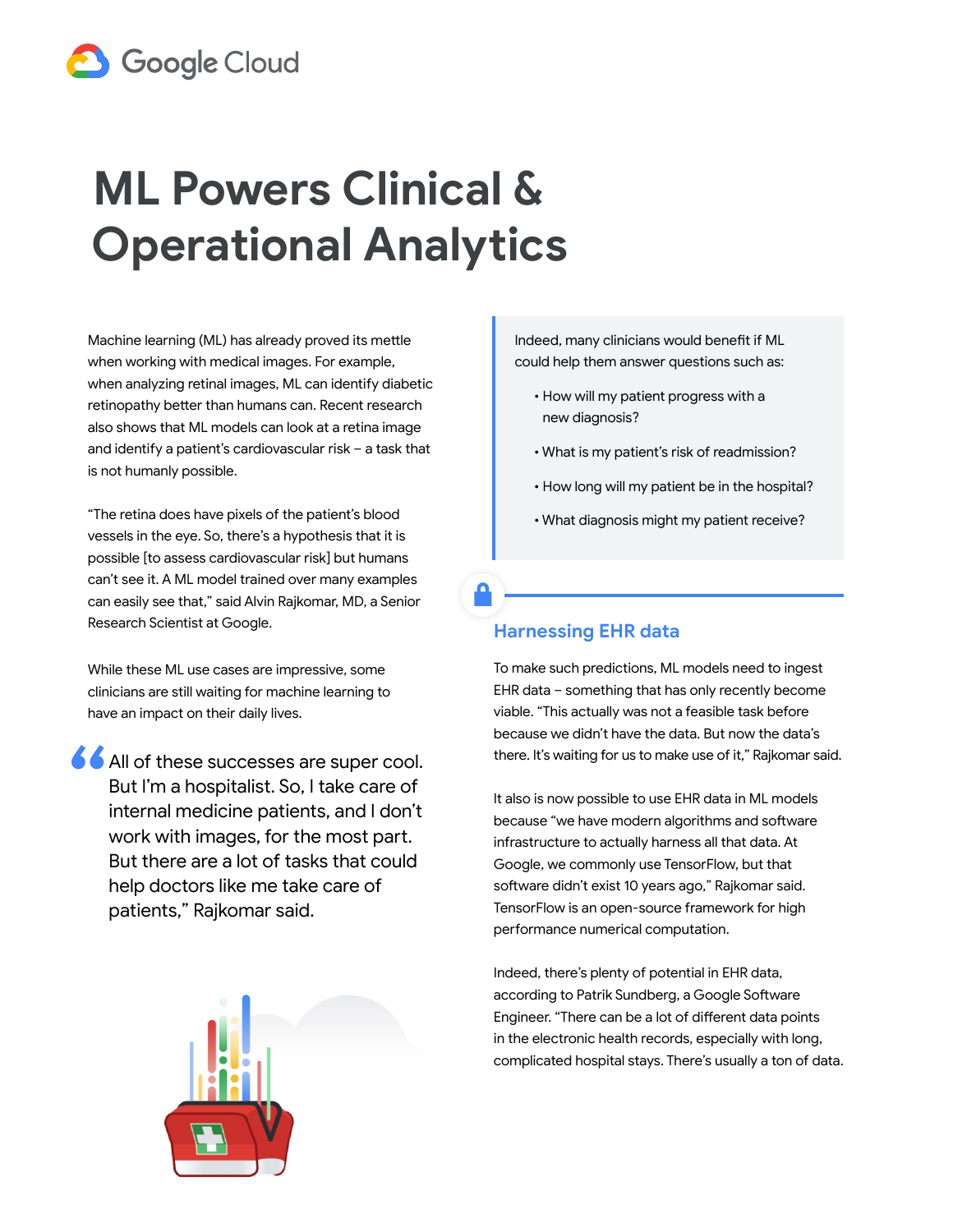

## **ML Powers Clinical & Operational Analytics**

Machine learning (ML) has already proved its mettle when working with medical images. For example, when analyzing retinal images, ML can identify diabetic retinopathy better than humans can. Recent research also shows that ML models can look at a retina image and identify a patient's cardiovascular risk – a task that is not humanly possible.

"The retina does have pixels of the patient's blood vessels in the eye. So, there's a hypothesis that it is possible [to assess cardiovascular risk] but humans can't see it. A ML model trained over many examples can easily see that," said Alvin Rajkomar, MD, a Senior Research Scientist at Google.

While these ML use cases are impressive, some clinicians are still waiting for machine learning to have an impact on their daily lives.

All of these successes are super cool. But I'm a hospitalist. So, I take care of internal medicine patients, and I don't work with images, for the most part. But there are a lot of tasks that could help doctors like me take care of patients," Rajkomar said. "



Indeed, many clinicians would benefit if ML could help them answer questions such as:

- How will my patient progress with a new diagnosis?
- What is my patient's risk of readmission?
- How long will my patient be in the hospital?
- What diagnosis might my patient receive?

## **Harnessing EHR data**

To make such predictions, ML models need to ingest EHR data – something that has only recently become viable. "This actually was not a feasible task before because we didn't have the data. But now the data's there. It's waiting for us to make use of it," Rajkomar said.

It also is now possible to use EHR data in ML models because "we have modern algorithms and software infrastructure to actually harness all that data. At Google, we commonly use TensorFlow, but that software didn't exist 10 years ago," Rajkomar said. TensorFlow is an open-source framework for high performance numerical computation.

Indeed, there's plenty of potential in EHR data, according to Patrik Sundberg, a Google Software Engineer. "There can be a lot of different data points in the electronic health records, especially with long, complicated hospital stays. There's usually a ton of data.